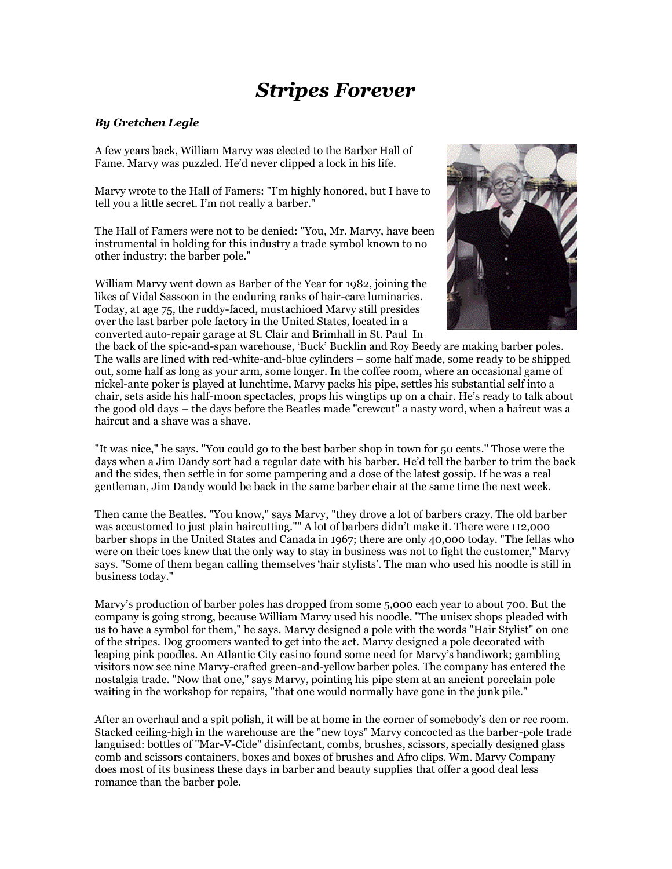## *Stripes Forever*

## *By Gretchen Legle*

A few years back, William Marvy was elected to the Barber Hall of Fame. Marvy was puzzled. He'd never clipped a lock in his life.

Marvy wrote to the Hall of Famers: "I'm highly honored, but I have to tell you a little secret. I'm not really a barber."

The Hall of Famers were not to be denied: "You, Mr. Marvy, have been instrumental in holding for this industry a trade symbol known to no other industry: the barber pole."

William Marvy went down as Barber of the Year for 1982, joining the likes of Vidal Sassoon in the enduring ranks of hair-care luminaries. Today, at age 75, the ruddy-faced, mustachioed Marvy still presides over the last barber pole factory in the United States, located in a converted auto-repair garage at St. Clair and Brimhall in St. Paul In



the back of the spic-and-span warehouse, 'Buck' Bucklin and Roy Beedy are making barber poles. The walls are lined with red-white-and-blue cylinders – some half made, some ready to be shipped out, some half as long as your arm, some longer. In the coffee room, where an occasional game of nickel-ante poker is played at lunchtime, Marvy packs his pipe, settles his substantial self into a chair, sets aside his half-moon spectacles, props his wingtips up on a chair. He's ready to talk about the good old days – the days before the Beatles made "crewcut" a nasty word, when a haircut was a haircut and a shave was a shave.

"It was nice," he says. "You could go to the best barber shop in town for 50 cents." Those were the days when a Jim Dandy sort had a regular date with his barber. He'd tell the barber to trim the back and the sides, then settle in for some pampering and a dose of the latest gossip. If he was a real gentleman, Jim Dandy would be back in the same barber chair at the same time the next week.

Then came the Beatles. "You know," says Marvy, "they drove a lot of barbers crazy. The old barber was accustomed to just plain haircutting."" A lot of barbers didn't make it. There were 112,000 barber shops in the United States and Canada in 1967; there are only 40,000 today. "The fellas who were on their toes knew that the only way to stay in business was not to fight the customer," Marvy says. "Some of them began calling themselves 'hair stylists'. The man who used his noodle is still in business today."

Marvy's production of barber poles has dropped from some 5,000 each year to about 700. But the company is going strong, because William Marvy used his noodle. "The unisex shops pleaded with us to have a symbol for them," he says. Marvy designed a pole with the words "Hair Stylist" on one of the stripes. Dog groomers wanted to get into the act. Marvy designed a pole decorated with leaping pink poodles. An Atlantic City casino found some need for Marvy's handiwork; gambling visitors now see nine Marvy-crafted green-and-yellow barber poles. The company has entered the nostalgia trade. "Now that one," says Marvy, pointing his pipe stem at an ancient porcelain pole waiting in the workshop for repairs, "that one would normally have gone in the junk pile."

After an overhaul and a spit polish, it will be at home in the corner of somebody's den or rec room. Stacked ceiling-high in the warehouse are the "new toys" Marvy concocted as the barber-pole trade languised: bottles of "Mar-V-Cide" disinfectant, combs, brushes, scissors, specially designed glass comb and scissors containers, boxes and boxes of brushes and Afro clips. Wm. Marvy Company does most of its business these days in barber and beauty supplies that offer a good deal less romance than the barber pole.